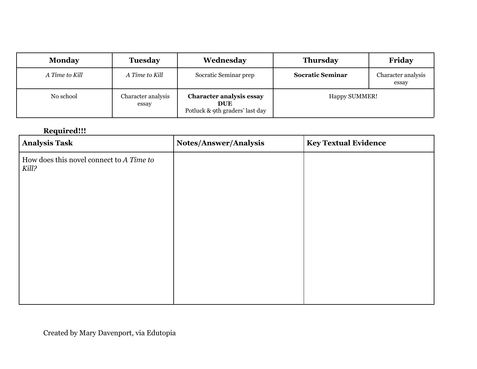| <b>Monday</b>  | <b>Tuesday</b>              | Wednesday                                                                        | <b>Thursday</b>         | Friday                      |
|----------------|-----------------------------|----------------------------------------------------------------------------------|-------------------------|-----------------------------|
| A Time to Kill | A Time to Kill              | Socratic Seminar prep                                                            | <b>Socratic Seminar</b> | Character analysis<br>essay |
| No school      | Character analysis<br>essay | <b>Character analysis essay</b><br><b>DUE</b><br>Potluck & 9th graders' last day | <b>Happy SUMMER!</b>    |                             |

## **Required!!!**

| <b>Analysis Task</b>                              | Notes/Answer/Analysis | <b>Key Textual Evidence</b> |
|---------------------------------------------------|-----------------------|-----------------------------|
| How does this novel connect to A Time to<br>Kill? |                       |                             |
|                                                   |                       |                             |
|                                                   |                       |                             |
|                                                   |                       |                             |
|                                                   |                       |                             |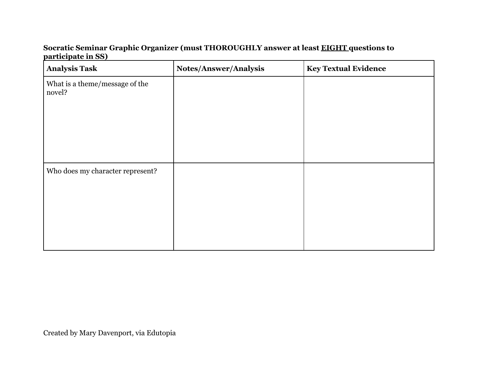## **Socratic Seminar Graphic Organizer (must THOROUGHLY answer at least EIGHT questions to participate in SS)**

| <b>Analysis Task</b>                     | Notes/Answer/Analysis | <b>Key Textual Evidence</b> |
|------------------------------------------|-----------------------|-----------------------------|
| What is a theme/message of the<br>novel? |                       |                             |
|                                          |                       |                             |
| Who does my character represent?         |                       |                             |

Created by Mary Davenport, via Edutopia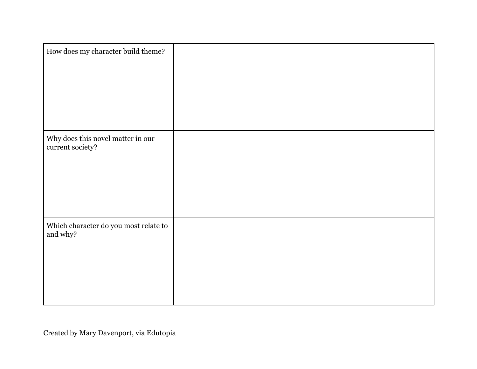| How does my character build theme?                    |  |
|-------------------------------------------------------|--|
|                                                       |  |
| Why does this novel matter in our<br>current society? |  |
|                                                       |  |
| Which character do you most relate to<br>and why?     |  |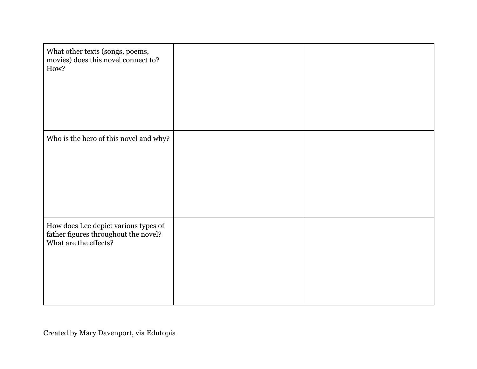| What other texts (songs, poems,<br>movies) does this novel connect to?<br>How?                        |  |
|-------------------------------------------------------------------------------------------------------|--|
| Who is the hero of this novel and why?                                                                |  |
| How does Lee depict various types of<br>father figures throughout the novel?<br>What are the effects? |  |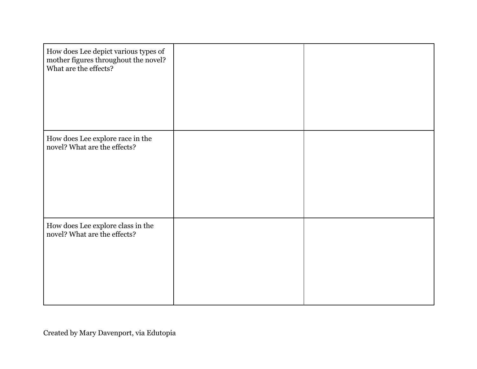| How does Lee depict various types of<br>mother figures throughout the novel?<br>What are the effects? |  |
|-------------------------------------------------------------------------------------------------------|--|
| How does Lee explore race in the<br>novel? What are the effects?                                      |  |
| How does Lee explore class in the<br>novel? What are the effects?                                     |  |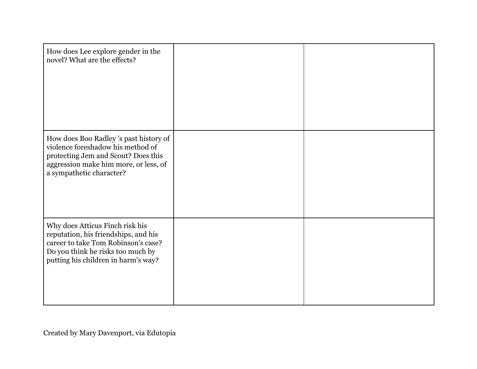| How does Lee explore gender in the<br>novel? What are the effects?                                                                                                                         |  |
|--------------------------------------------------------------------------------------------------------------------------------------------------------------------------------------------|--|
| How does Boo Radley's past history of<br>violence foreshadow his method of<br>protecting Jem and Scout? Does this<br>aggression make him more, or less, of<br>a sympathetic character?     |  |
| Why does Atticus Finch risk his<br>reputation, his friendships, and his<br>career to take Tom Robinson's case?<br>Do you think he risks too much by<br>putting his children in harm's way? |  |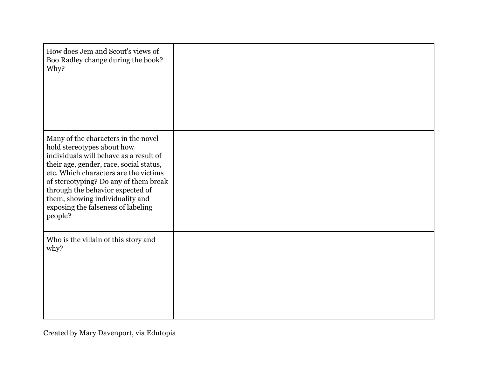| How does Jem and Scout's views of<br>Boo Radley change during the book?<br>Why?                                                                                                                                                                                                                                                                                  |  |
|------------------------------------------------------------------------------------------------------------------------------------------------------------------------------------------------------------------------------------------------------------------------------------------------------------------------------------------------------------------|--|
| Many of the characters in the novel<br>hold stereotypes about how<br>individuals will behave as a result of<br>their age, gender, race, social status,<br>etc. Which characters are the victims<br>of stereotyping? Do any of them break<br>through the behavior expected of<br>them, showing individuality and<br>exposing the falseness of labeling<br>people? |  |
| Who is the villain of this story and<br>why?                                                                                                                                                                                                                                                                                                                     |  |

Created by Mary Davenport, via Edutopia